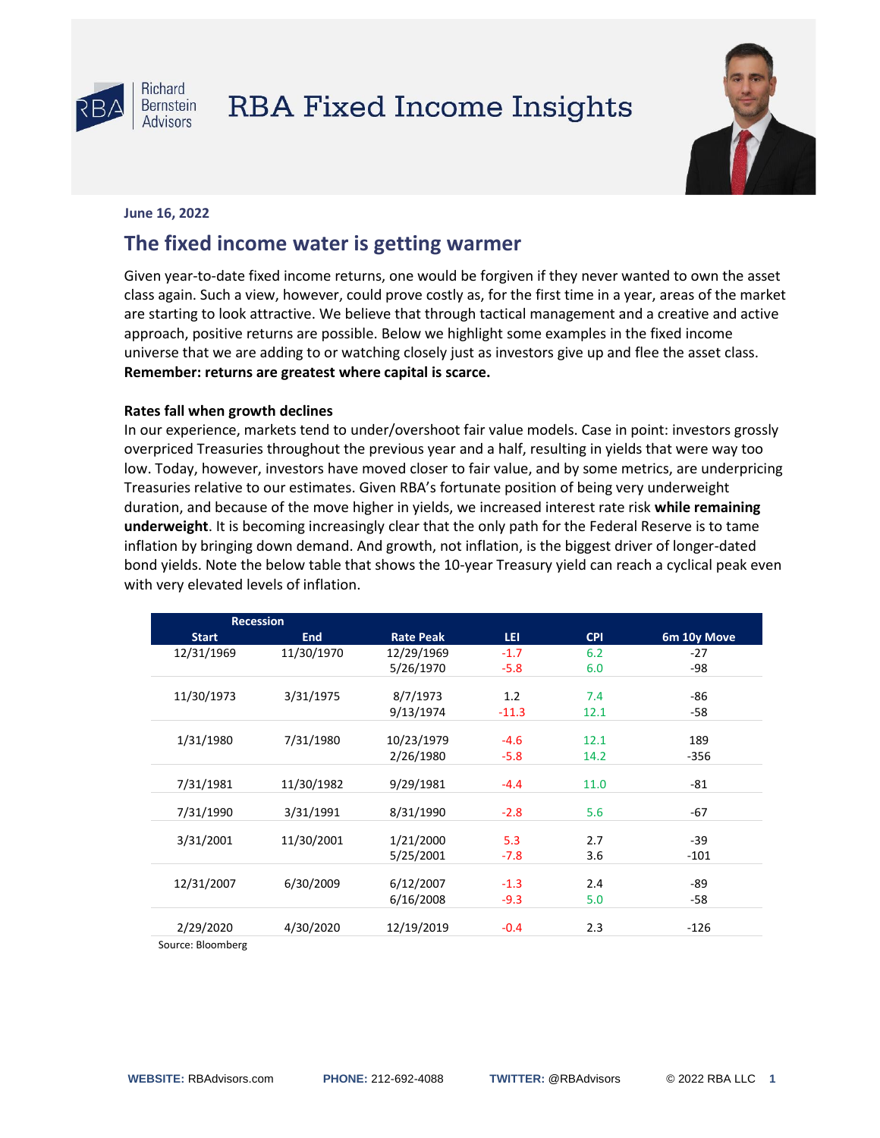

# **RBA Fixed Income Insights**



### **June 16, 2022**

# **The fixed income water is getting warmer**

Given year-to-date fixed income returns, one would be forgiven if they never wanted to own the asset class again. Such a view, however, could prove costly as, for the first time in a year, areas of the market are starting to look attractive. We believe that through tactical management and a creative and active approach, positive returns are possible. Below we highlight some examples in the fixed income universe that we are adding to or watching closely just as investors give up and flee the asset class. **Remember: returns are greatest where capital is scarce.**

## **Rates fall when growth declines**

In our experience, markets tend to under/overshoot fair value models. Case in point: investors grossly overpriced Treasuries throughout the previous year and a half, resulting in yields that were way too low. Today, however, investors have moved closer to fair value, and by some metrics, are underpricing Treasuries relative to our estimates. Given RBA's fortunate position of being very underweight duration, and because of the move higher in yields, we increased interest rate risk **while remaining underweight**. It is becoming increasingly clear that the only path for the Federal Reserve is to tame inflation by bringing down demand. And growth, not inflation, is the biggest driver of longer-dated bond yields. Note the below table that shows the 10-year Treasury yield can reach a cyclical peak even with very elevated levels of inflation.

| <b>Recession</b>  |            |                  |         |            |             |
|-------------------|------------|------------------|---------|------------|-------------|
| <b>Start</b>      | <b>End</b> | <b>Rate Peak</b> | LEI.    | <b>CPI</b> | 6m 10y Move |
| 12/31/1969        | 11/30/1970 | 12/29/1969       | $-1.7$  | 6.2        | $-27$       |
|                   |            | 5/26/1970        | $-5.8$  | 6.0        | -98         |
|                   |            |                  |         |            |             |
| 11/30/1973        | 3/31/1975  | 8/7/1973         | 1.2     | 7.4        | $-86$       |
|                   |            | 9/13/1974        | $-11.3$ | 12.1       | -58         |
| 1/31/1980         | 7/31/1980  |                  | $-4.6$  | 12.1       | 189         |
|                   |            | 10/23/1979       |         |            |             |
|                   |            | 2/26/1980        | $-5.8$  | 14.2       | $-356$      |
| 7/31/1981         | 11/30/1982 | 9/29/1981        | $-4.4$  | 11.0       | $-81$       |
|                   |            |                  |         |            |             |
| 7/31/1990         | 3/31/1991  | 8/31/1990        | $-2.8$  | 5.6        | $-67$       |
|                   |            |                  |         |            |             |
| 3/31/2001         | 11/30/2001 | 1/21/2000        | 5.3     | 2.7        | $-39$       |
|                   |            | 5/25/2001        | $-7.8$  | 3.6        | $-101$      |
|                   |            |                  |         |            |             |
| 12/31/2007        | 6/30/2009  | 6/12/2007        | $-1.3$  | 2.4        | -89         |
|                   |            | 6/16/2008        | $-9.3$  | 5.0        | -58         |
|                   |            |                  |         |            |             |
| 2/29/2020         | 4/30/2020  | 12/19/2019       | $-0.4$  | 2.3        | $-126$      |
| Source: Bloomberg |            |                  |         |            |             |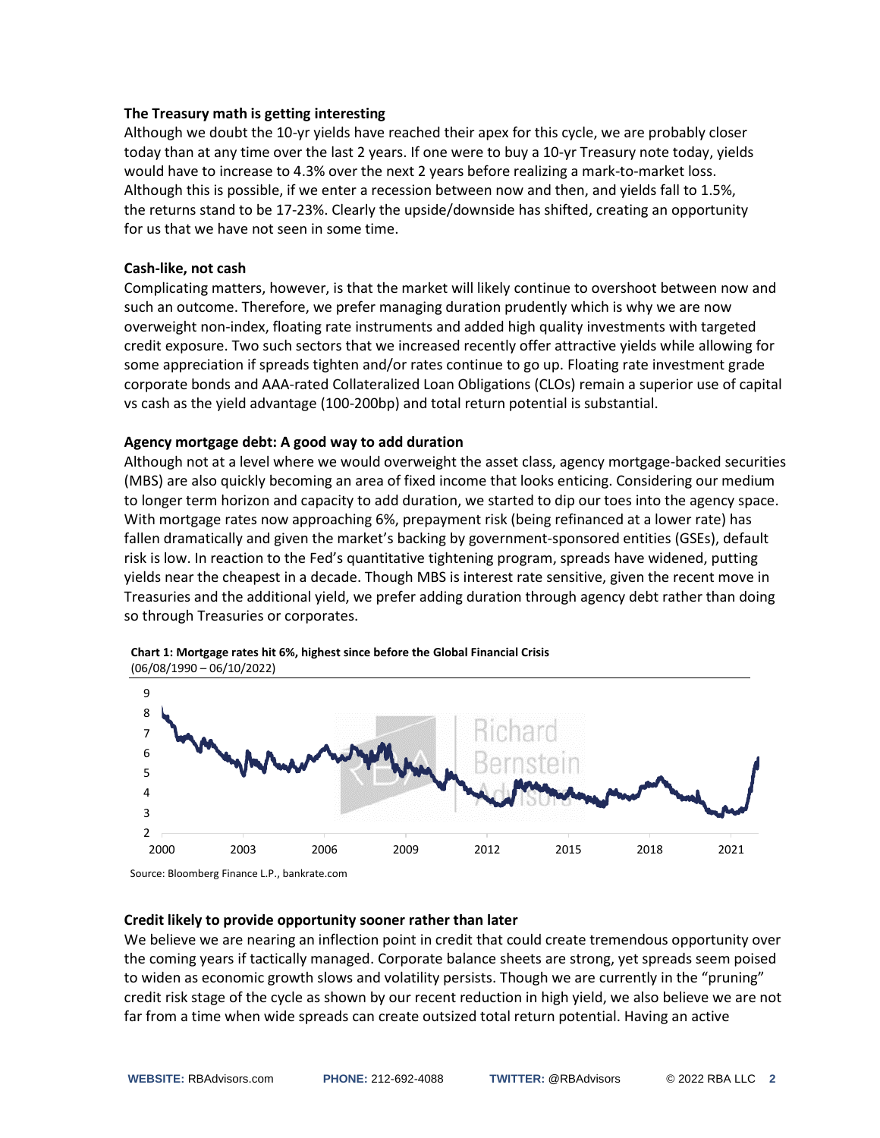#### **The Treasury math is getting interesting**

Although we doubt the 10-yr yields have reached their apex for this cycle, we are probably closer today than at any time over the last 2 years. If one were to buy a 10-yr Treasury note today, yields would have to increase to 4.3% over the next 2 years before realizing a mark-to-market loss. Although this is possible, if we enter a recession between now and then, and yields fall to 1.5%, the returns stand to be 17-23%. Clearly the upside/downside has shifted, creating an opportunity for us that we have not seen in some time.

#### **Cash-like, not cash**

Complicating matters, however, is that the market will likely continue to overshoot between now and such an outcome. Therefore, we prefer managing duration prudently which is why we are now overweight non-index, floating rate instruments and added high quality investments with targeted credit exposure. Two such sectors that we increased recently offer attractive yields while allowing for some appreciation if spreads tighten and/or rates continue to go up. Floating rate investment grade corporate bonds and AAA-rated Collateralized Loan Obligations (CLOs) remain a superior use of capital vs cash as the yield advantage (100-200bp) and total return potential is substantial.

#### **Agency mortgage debt: A good way to add duration**

Although not at a level where we would overweight the asset class, agency mortgage-backed securities (MBS) are also quickly becoming an area of fixed income that looks enticing. Considering our medium to longer term horizon and capacity to add duration, we started to dip our toes into the agency space. With mortgage rates now approaching 6%, prepayment risk (being refinanced at a lower rate) has fallen dramatically and given the market's backing by government-sponsored entities (GSEs), default risk is low. In reaction to the Fed's quantitative tightening program, spreads have widened, putting yields near the cheapest in a decade. Though MBS is interest rate sensitive, given the recent move in Treasuries and the additional yield, we prefer adding duration through agency debt rather than doing so through Treasuries or corporates.





Source: Bloomberg Finance L.P., bankrate.com

#### **Credit likely to provide opportunity sooner rather than later**

We believe we are nearing an inflection point in credit that could create tremendous opportunity over the coming years if tactically managed. Corporate balance sheets are strong, yet spreads seem poised to widen as economic growth slows and volatility persists. Though we are currently in the "pruning" credit risk stage of the cycle as shown by our recent reduction in high yield, we also believe we are not far from a time when wide spreads can create outsized total return potential. Having an active